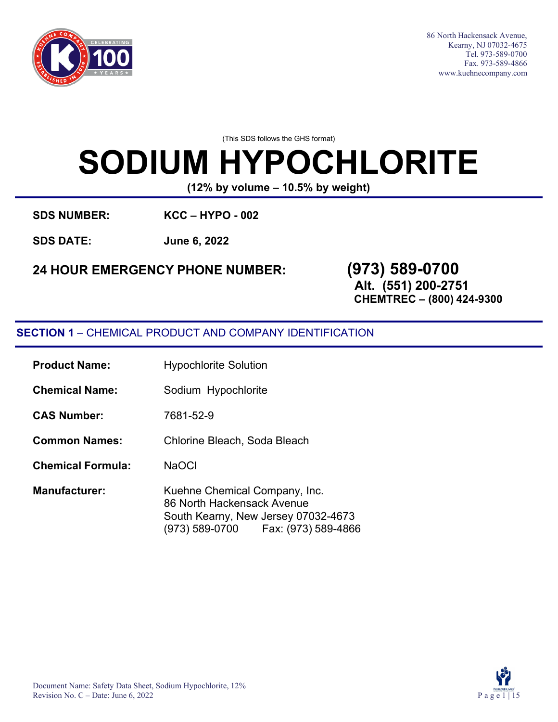

86 North Hackensack Avenue, Kearny, NJ 07032-4675 Tel. 973-589-0700 Fax. 973-589-4866 [www.kuehnecompany.com](http://www.kuehnecompany.com/)

(This SDS follows the GHS format)

# **SODIUM HYPOCHLORITE**

**(12% by volume – 10.5% by weight)**

**SDS NUMBER: KCC – HYPO - 002**

**SDS DATE: June 6, 2022**

# **24 HOUR EMERGENCY PHONE NUMBER: (973) 589-0700**

**Alt. (551) 200-2751**

**CHEMTREC – (800) 424-9300**

### **SECTION 1** – CHEMICAL PRODUCT AND COMPANY IDENTIFICATION

| <b>Product Name:</b>     | <b>Hypochlorite Solution</b>                                                                                                                |  |  |
|--------------------------|---------------------------------------------------------------------------------------------------------------------------------------------|--|--|
| <b>Chemical Name:</b>    | Sodium Hypochlorite                                                                                                                         |  |  |
| <b>CAS Number:</b>       | 7681-52-9                                                                                                                                   |  |  |
| <b>Common Names:</b>     | Chlorine Bleach, Soda Bleach                                                                                                                |  |  |
| <b>Chemical Formula:</b> | <b>NaOCI</b>                                                                                                                                |  |  |
| <b>Manufacturer:</b>     | Kuehne Chemical Company, Inc.<br>86 North Hackensack Avenue<br>South Kearny, New Jersey 07032-4673<br>(973) 589-0700    Fax: (973) 589-4866 |  |  |

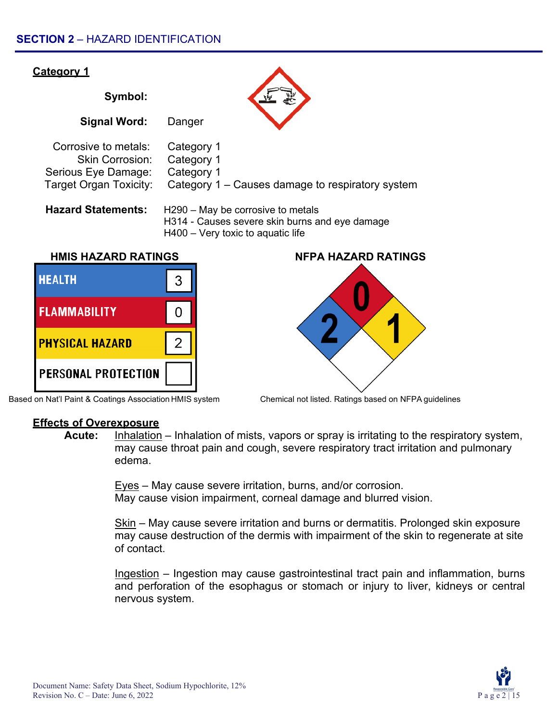

Based on Nat'l Paint & Coatings Association HMIS system Chemical not listed. Ratings based on NFPA guidelines



**Acute:** Inhalation – Inhalation of mists, vapors or spray is irritating to the respiratory system, may cause throat pain and cough, severe respiratory tract irritation and pulmonary edema.

> Eyes – May cause severe irritation, burns, and/or corrosion. May cause vision impairment, corneal damage and blurred vision.

Skin – May cause severe irritation and burns or dermatitis. Prolonged skin exposure may cause destruction of the dermis with impairment of the skin to regenerate at site of contact.

Ingestion – Ingestion may cause gastrointestinal tract pain and inflammation, burns and perforation of the esophagus or stomach or injury to liver, kidneys or central nervous system.

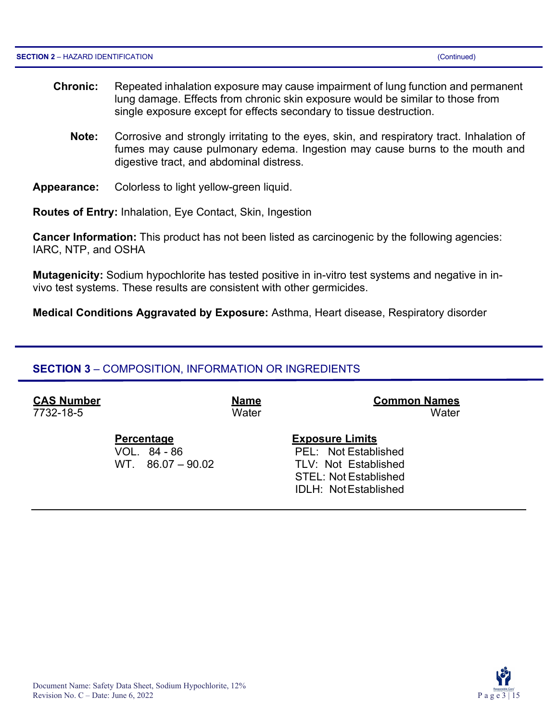Revision No.  $C$  – Date: June 6, 2022

- **Chronic:** Repeated inhalation exposure may cause impairment of lung function and permanent lung damage. Effects from chronic skin exposure would be similar to those from single exposure except for effects secondary to tissue destruction.
	- **Note:** Corrosive and strongly irritating to the eyes, skin, and respiratory tract. Inhalation of fumes may cause pulmonary edema. Ingestion may cause burns to the mouth and digestive tract, and abdominal distress.
- **Appearance:** Colorless to light yellow-green liquid.

**Routes of Entry:** Inhalation, Eye Contact, Skin, Ingestion

**Cancer Information:** This product has not been listed as carcinogenic by the following agencies: IARC, NTP, and OSHA

**Mutagenicity:** Sodium hypochlorite has tested positive in in-vitro test systems and negative in invivo test systems. These results are consistent with other germicides.

**Medical Conditions Aggravated by Exposure:** Asthma, Heart disease, Respiratory disorder

### **SECTION 3** – COMPOSITION, INFORMATION OR INGREDIENTS

**CAS Number Name Common Names** 7732-18-5 Water Water

**Percentage Exposure Limits** VOL. 84 - 86 PEL: Not Established WT. 86.07 – 90.02 TLV: Not Established STEL: Not Established IDLH: NotEstablished

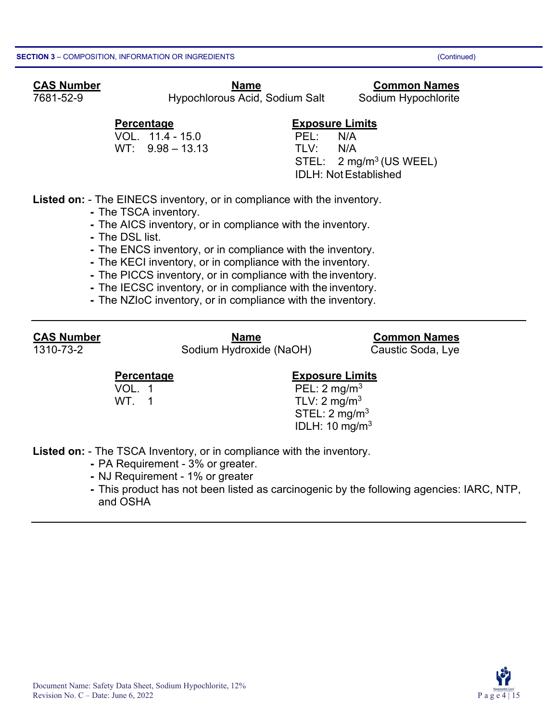#### **CAS Number Name CAS Number COMMON**

7681-52-9 Hypochlorous Acid, Sodium Salt Sodium Hypochlorite

VOL. 11.4 - 15.0 PEL: N/A  $WT: 9.98 - 13.13$ 

### **Percentage Exposure Limits**

 $STEL: 2 mg/m<sup>3</sup> (US WELL)$ IDLH: NotEstablished

**Listed on:** - The EINECS inventory, or in compliance with the inventory.

- **-** The TSCA inventory.
- **-** The AICS inventory, or in compliance with the inventory.
- **-** The DSL list.
- **-** The ENCS inventory, or in compliance with the inventory.
- **-** The KECI inventory, or in compliance with the inventory.
- **-** The PICCS inventory, or in compliance with the inventory.
- **-** The IECSC inventory, or in compliance with the inventory.
- **-** The NZIoC inventory, or in compliance with the inventory.

**CAS Number Name Common Names** Sodium Hydroxide (NaOH) Caustic Soda, Lye

### **Percentage Construction Exposure Limits**

VOL. 1 **PEL:**  $2 \text{ mg/m}^3$ WT.  $1$  TLV:  $2 \text{ mg/m}^3$  $STEL: 2 mg/m<sup>3</sup>$ IDLH: 10 mg/m3

**Listed on:** - The TSCA Inventory, or in compliance with the inventory.

- **-** PA Requirement 3% or greater.
- **-** NJ Requirement 1% or greater
- **-** This product has not been listed as carcinogenic by the following agencies: IARC, NTP, and OSHA

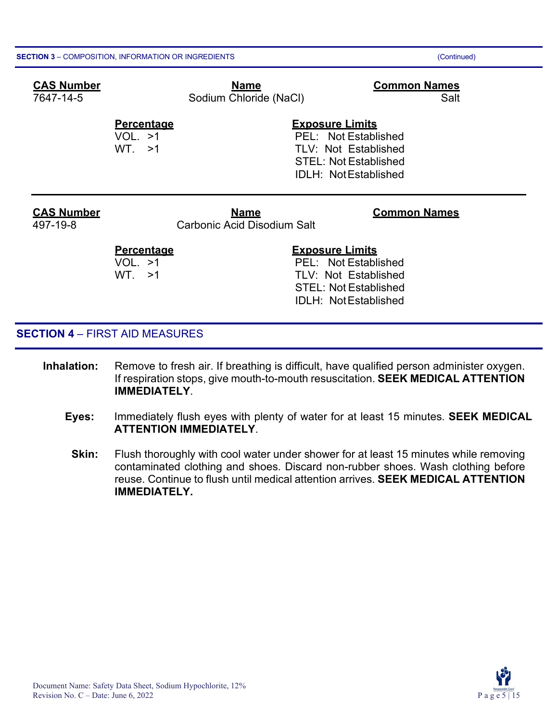| <b>CAS Number</b><br>7647-14-5 | <b>Name</b><br>Sodium Chloride (NaCl)             | <b>Common Names</b><br>Salt                                                                                                           |
|--------------------------------|---------------------------------------------------|---------------------------------------------------------------------------------------------------------------------------------------|
|                                | <b>Percentage</b><br>VOL. >1<br>WT. >1            | <b>Exposure Limits</b><br>PEL: Not Established<br>TLV: Not Established<br><b>STEL: Not Established</b><br><b>IDLH: NotEstablished</b> |
| <b>CAS Number</b><br>497-19-8  | <b>Name</b><br><b>Carbonic Acid Disodium Salt</b> | <b>Common Names</b>                                                                                                                   |
|                                | <b>Percentage</b><br>VOL. >1<br>WT. >1            | <b>Exposure Limits</b><br>PEL: Not Established<br><b>TLV: Not Established</b>                                                         |

#### **SECTION 4** – FIRST AID MEASURES

- **Inhalation:** Remove to fresh air. If breathing is difficult, have qualified person administer oxygen. If respiration stops, give mouth-to-mouth resuscitation. **SEEK MEDICAL ATTENTION IMMEDIATELY**.
	- **Eyes:** Immediately flush eyes with plenty of water for at least 15 minutes. **SEEK MEDICAL ATTENTION IMMEDIATELY**.

STEL: Not Established IDLH: NotEstablished

**Skin:** Flush thoroughly with cool water under shower for at least 15 minutes while removing contaminated clothing and shoes. Discard non-rubber shoes. Wash clothing before reuse. Continue to flush until medical attention arrives. **SEEK MEDICAL ATTENTION IMMEDIATELY.**

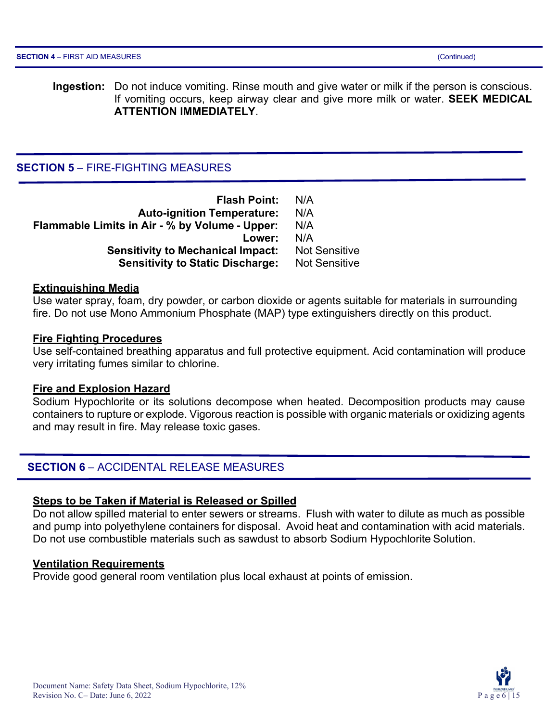**Ingestion:** Do not induce vomiting. Rinse mouth and give water or milk if the person is conscious. If vomiting occurs, keep airway clear and give more milk or water. **SEEK MEDICAL ATTENTION IMMEDIATELY**.

#### **SECTION 5** – FIRE-FIGHTING MEASURES

| <b>Flash Point:</b>                            | N/A                  |
|------------------------------------------------|----------------------|
| <b>Auto-ignition Temperature:</b>              | N/A                  |
| Flammable Limits in Air - % by Volume - Upper: | N/A                  |
| Lower:                                         | N/A                  |
| <b>Sensitivity to Mechanical Impact:</b>       | <b>Not Sensitive</b> |
| <b>Sensitivity to Static Discharge:</b>        | <b>Not Sensitive</b> |

#### **Extinguishing Media**

Use water spray, foam, dry powder, or carbon dioxide or agents suitable for materials in surrounding fire. Do not use Mono Ammonium Phosphate (MAP) type extinguishers directly on this product.

#### **Fire Fighting Procedures**

Use self-contained breathing apparatus and full protective equipment. Acid contamination will produce very irritating fumes similar to chlorine.

#### **Fire and Explosion Hazard**

Sodium Hypochlorite or its solutions decompose when heated. Decomposition products may cause containers to rupture or explode. Vigorous reaction is possible with organic materials or oxidizing agents and may result in fire. May release toxic gases.

#### **SECTION 6** – ACCIDENTAL RELEASE MEASURES

#### **Steps to be Taken if Material is Released or Spilled**

Do not allow spilled material to enter sewers or streams. Flush with water to dilute as much as possible and pump into polyethylene containers for disposal. Avoid heat and contamination with acid materials. Do not use combustible materials such as sawdust to absorb Sodium Hypochlorite Solution.

#### **Ventilation Requirements**

Provide good general room ventilation plus local exhaust at points of emission.

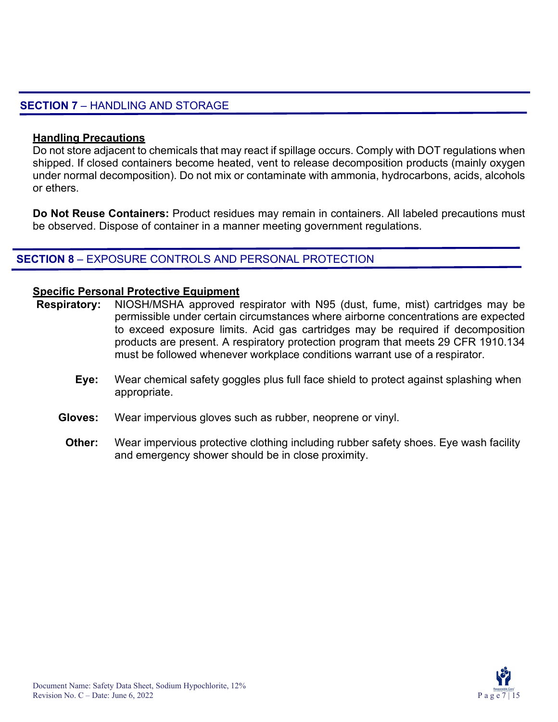#### **SECTION 7** – HANDLING AND STORAGE

#### **Handling Precautions**

Do not store adjacent to chemicals that may react if spillage occurs. Comply with DOT regulations when shipped. If closed containers become heated, vent to release decomposition products (mainly oxygen under normal decomposition). Do not mix or contaminate with ammonia, hydrocarbons, acids, alcohols or ethers.

**Do Not Reuse Containers:** Product residues may remain in containers. All labeled precautions must be observed. Dispose of container in a manner meeting government regulations.

#### **SECTION 8** – EXPOSURE CONTROLS AND PERSONAL PROTECTION

#### **Specific Personal Protective Equipment**

- **Respiratory:** NIOSH/MSHA approved respirator with N95 (dust, fume, mist) cartridges may be permissible under certain circumstances where airborne concentrations are expected to exceed exposure limits. Acid gas cartridges may be required if decomposition products are present. A respiratory protection program that meets 29 CFR 1910.134 must be followed whenever workplace conditions warrant use of a respirator.
	- **Eye:** Wear chemical safety goggles plus full face shield to protect against splashing when appropriate.
	- **Gloves:** Wear impervious gloves such as rubber, neoprene or vinyl.
		- **Other:** Wear impervious protective clothing including rubber safety shoes. Eye wash facility and emergency shower should be in close proximity.

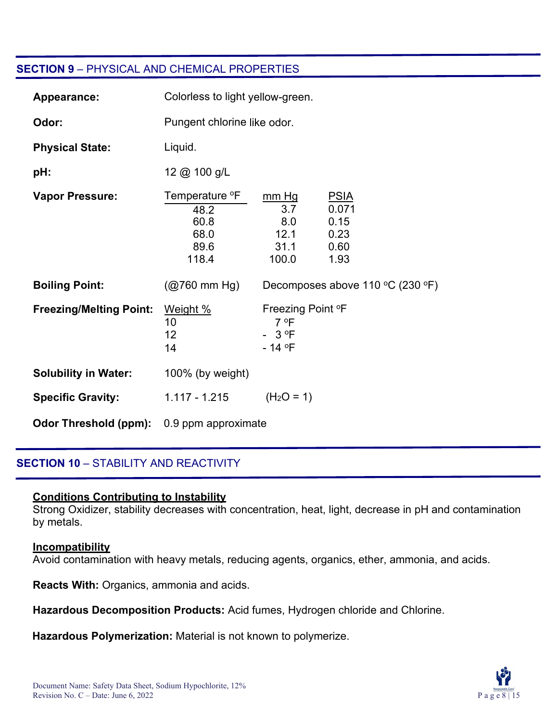#### **SECTION 9** – PHYSICAL AND CHEMICAL PROPERTIES

| Appearance:                    | Colorless to light yellow-green.                                    |                                                              |                                                      |
|--------------------------------|---------------------------------------------------------------------|--------------------------------------------------------------|------------------------------------------------------|
| Odor:                          | Pungent chlorine like odor.                                         |                                                              |                                                      |
| <b>Physical State:</b>         | Liquid.                                                             |                                                              |                                                      |
| pH:                            | 12 @ 100 g/L                                                        |                                                              |                                                      |
| <b>Vapor Pressure:</b>         | Temperature <sup>o</sup> F<br>48.2<br>60.8<br>68.0<br>89.6<br>118.4 | mm Hg<br>3.7<br>8.0<br>12.1<br>31.1<br>100.0                 | <b>PSIA</b><br>0.071<br>0.15<br>0.23<br>0.60<br>1.93 |
| <b>Boiling Point:</b>          | $(Q760 \text{ mm Hg})$                                              |                                                              | Decomposes above 110 °C (230 °F)                     |
| <b>Freezing/Melting Point:</b> | Weight %<br>10<br>12<br>14                                          | Freezing Point °F<br>7 °F<br>$-3$ <sup>o</sup> F<br>$-14$ °F |                                                      |
| <b>Solubility in Water:</b>    | 100% (by weight)                                                    |                                                              |                                                      |
| <b>Specific Gravity:</b>       | 1.117 - 1.215                                                       | $(H2O = 1)$                                                  |                                                      |
| <b>Odor Threshold (ppm):</b>   | 0.9 ppm approximate                                                 |                                                              |                                                      |

#### **SECTION 10** – STABILITY AND REACTIVITY

#### **Conditions Contributing to Instability**

Strong Oxidizer, stability decreases with concentration, heat, light, decrease in pH and contamination by metals.

#### **Incompatibility**

Avoid contamination with heavy metals, reducing agents, organics, ether, ammonia, and acids.

**Reacts With:** Organics, ammonia and acids.

**Hazardous Decomposition Products:** Acid fumes, Hydrogen chloride and Chlorine.

**Hazardous Polymerization:** Material is not known to polymerize.

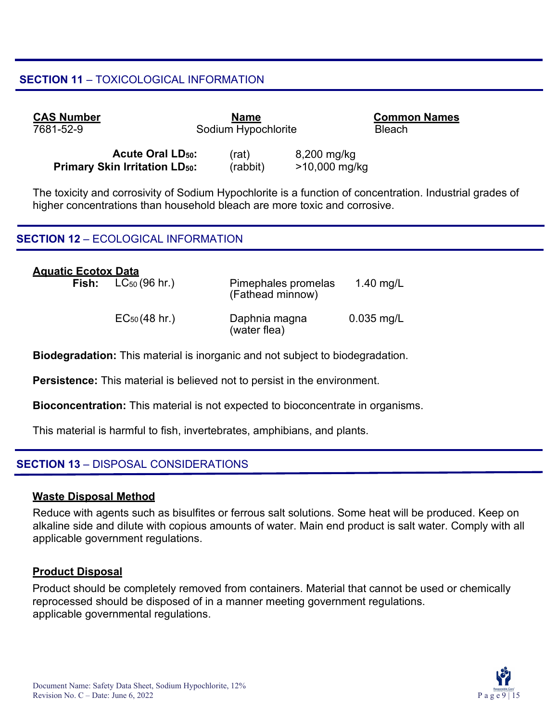#### **SECTION 11** – TOXICOLOGICAL INFORMATION

| <b>CAS Number</b> |                                    | <b>Name</b>         |             | <b>Common Names</b> |
|-------------------|------------------------------------|---------------------|-------------|---------------------|
| 7681-52-9         |                                    | Sodium Hypochlorite |             | <b>Bleach</b>       |
|                   | <b>Acute Oral LD<sub>50</sub>:</b> | (rat)               | 8,200 mg/kg |                     |

**Primary Skin Irritation LD<sub>50</sub>:** (rabbit) >10,000 mg/kg

The toxicity and corrosivity of Sodium Hypochlorite is a function of concentration. Industrial grades of higher concentrations than household bleach are more toxic and corrosive.

#### **SECTION 12** – ECOLOGICAL INFORMATION

| <b>Aguatic Ecotox Data</b> | <b>Fish:</b> $LC_{50}$ (96 hr.) | Pimephales promelas<br>(Fathead minnow) | 1.40 mg/L    |
|----------------------------|---------------------------------|-----------------------------------------|--------------|
|                            | $EC_{50}(48 \text{ hr.})$       | Daphnia magna<br>(water flea)           | $0.035$ mg/L |

**Biodegradation:** This material is inorganic and not subject to biodegradation.

**Persistence:** This material is believed not to persist in the environment.

**Bioconcentration:** This material is not expected to bioconcentrate in organisms.

This material is harmful to fish, invertebrates, amphibians, and plants.

#### **SECTION 13** – DISPOSAL CONSIDERATIONS

#### **Waste Disposal Method**

Reduce with agents such as bisulfites or ferrous salt solutions. Some heat will be produced. Keep on alkaline side and dilute with copious amounts of water. Main end product is salt water. Comply with all applicable government regulations.

#### **Product Disposal**

Product should be completely removed from containers. Material that cannot be used or chemically reprocessed should be disposed of in a manner meeting government regulations. applicable governmental regulations.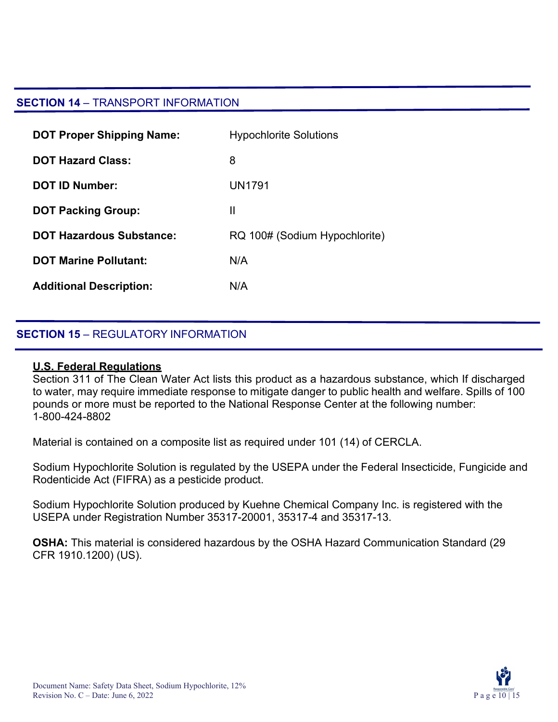#### **SECTION 14** – TRANSPORT INFORMATION

| <b>DOT Proper Shipping Name:</b> | <b>Hypochlorite Solutions</b> |
|----------------------------------|-------------------------------|
| <b>DOT Hazard Class:</b>         | 8                             |
| <b>DOT ID Number:</b>            | UN1791                        |
| <b>DOT Packing Group:</b>        | Ш                             |
| <b>DOT Hazardous Substance:</b>  | RQ 100# (Sodium Hypochlorite) |
| <b>DOT Marine Pollutant:</b>     | N/A                           |
| <b>Additional Description:</b>   | N/A                           |

#### **SECTION 15** – REGULATORY INFORMATION

#### **U.S. Federal Regulations**

Section 311 of The Clean Water Act lists this product as a hazardous substance, which If discharged to water, may require immediate response to mitigate danger to public health and welfare. Spills of 100 pounds or more must be reported to the National Response Center at the following number: 1-800-424-8802

Material is contained on a composite list as required under 101 (14) of CERCLA.

Sodium Hypochlorite Solution is regulated by the USEPA under the Federal Insecticide, Fungicide and Rodenticide Act (FIFRA) as a pesticide product.

Sodium Hypochlorite Solution produced by Kuehne Chemical Company Inc. is registered with the USEPA under Registration Number 35317-20001, 35317-4 and 35317-13.

**OSHA:** This material is considered hazardous by the OSHA Hazard Communication Standard (29 CFR 1910.1200) (US).

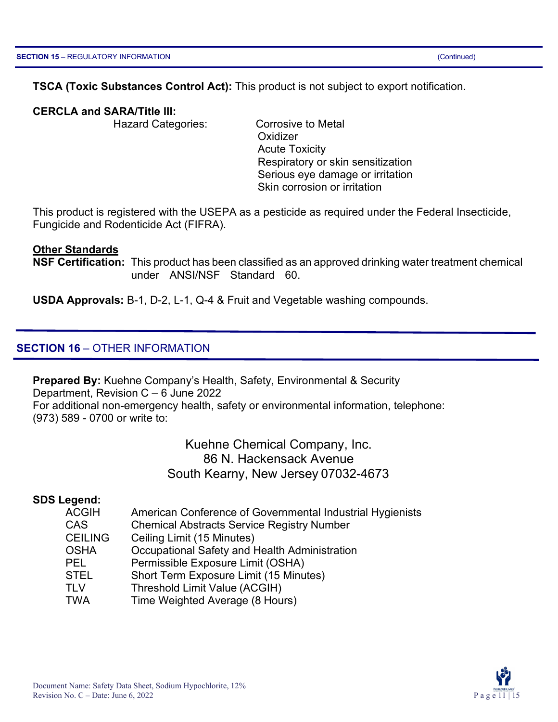#### **TSCA (Toxic Substances Control Act):** This product is not subject to export notification.

#### **CERCLA and SARA/Title III:**

Hazard Categories: Corrosive to Metal

**Oxidizer** Acute Toxicity Respiratory or skin sensitization Serious eye damage or irritation Skin corrosion or irritation

This product is registered with the USEPA as a pesticide as required under the Federal Insecticide, Fungicide and Rodenticide Act (FIFRA).

#### **Other Standards**

**NSF Certification:** This product has been classified as an approved drinking water treatment chemical under ANSI/NSF Standard 60.

**USDA Approvals:** B-1, D-2, L-1, Q-4 & Fruit and Vegetable washing compounds.

#### **SECTION 16** – OTHER INFORMATION

**Prepared By:** Kuehne Company's Health, Safety, Environmental & Security Department, Revision C – 6 June 2022 For additional non-emergency health, safety or environmental information, telephone: (973) 589 - 0700 or write to:

> Kuehne Chemical Company, Inc. 86 N. Hackensack Avenue South Kearny, New Jersey 07032-4673

#### **SDS Legend:**

| <b>ACGIH</b>   | American Conference of Governmental Industrial Hygienists |
|----------------|-----------------------------------------------------------|
| <b>CAS</b>     | <b>Chemical Abstracts Service Registry Number</b>         |
| <b>CEILING</b> | Ceiling Limit (15 Minutes)                                |
| <b>OSHA</b>    | Occupational Safety and Health Administration             |
| <b>PEL</b>     | Permissible Exposure Limit (OSHA)                         |
| <b>STEL</b>    | Short Term Exposure Limit (15 Minutes)                    |
| <b>TLV</b>     | Threshold Limit Value (ACGIH)                             |
| <b>TWA</b>     | Time Weighted Average (8 Hours)                           |

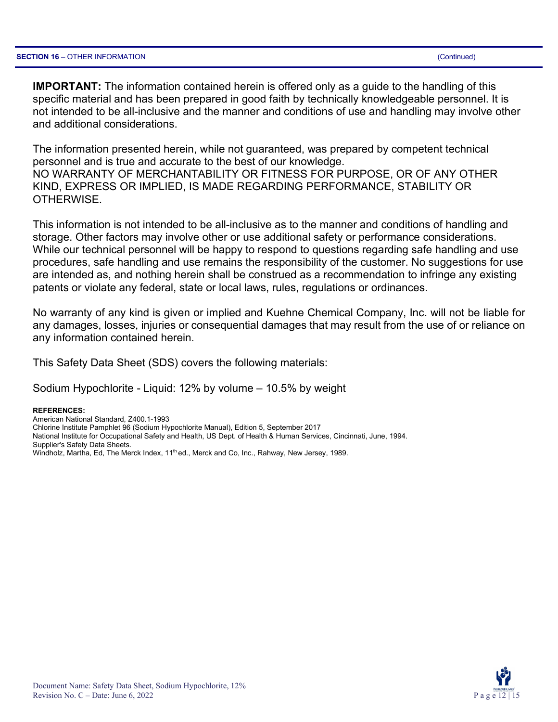**IMPORTANT:** The information contained herein is offered only as a guide to the handling of this specific material and has been prepared in good faith by technically knowledgeable personnel. It is not intended to be all-inclusive and the manner and conditions of use and handling may involve other and additional considerations.

The information presented herein, while not guaranteed, was prepared by competent technical personnel and is true and accurate to the best of our knowledge. NO WARRANTY OF MERCHANTABILITY OR FITNESS FOR PURPOSE, OR OF ANY OTHER KIND, EXPRESS OR IMPLIED, IS MADE REGARDING PERFORMANCE, STABILITY OR OTHERWISE.

This information is not intended to be all-inclusive as to the manner and conditions of handling and storage. Other factors may involve other or use additional safety or performance considerations. While our technical personnel will be happy to respond to questions regarding safe handling and use procedures, safe handling and use remains the responsibility of the customer. No suggestions for use are intended as, and nothing herein shall be construed as a recommendation to infringe any existing patents or violate any federal, state or local laws, rules, regulations or ordinances.

No warranty of any kind is given or implied and Kuehne Chemical Company, Inc. will not be liable for any damages, losses, injuries or consequential damages that may result from the use of or reliance on any information contained herein.

This Safety Data Sheet (SDS) covers the following materials:

Sodium Hypochlorite - Liquid: 12% by volume – 10.5% by weight

#### **REFERENCES:**

American National Standard, Z400.1-1993 Chlorine Institute Pamphlet 96 (Sodium Hypochlorite Manual), Edition 5, September 2017 National Institute for Occupational Safety and Health, US Dept. of Health & Human Services, Cincinnati, June, 1994. Supplier's Safety Data Sheets. Windholz, Martha, Ed, The Merck Index, 11<sup>th</sup> ed., Merck and Co, Inc., Rahway, New Jersey, 1989.

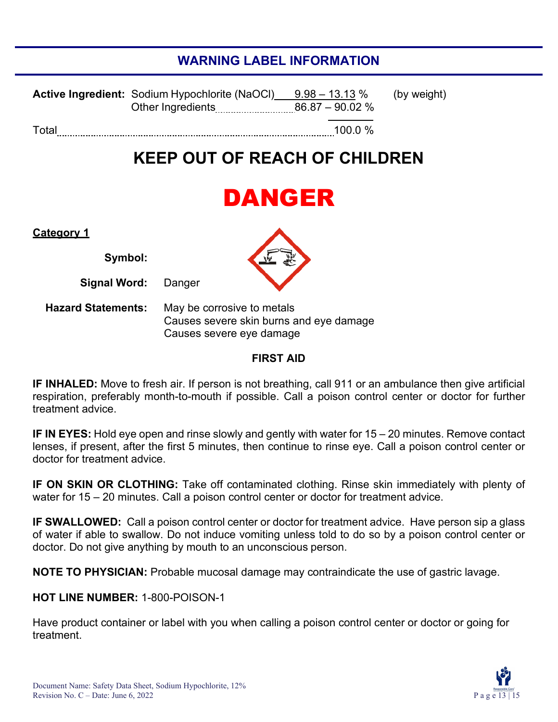# **WARNING LABEL INFORMATION**

|       | <b>Active Ingredient:</b> Sodium Hypochlorite (NaOCI) | $9.98$ $-$ 13.13 $\%$ | (by weight) |
|-------|-------------------------------------------------------|-----------------------|-------------|
| Total |                                                       | $100.0\%$             |             |

# **KEEP OUT OF REACH OF CHILDREN**

# DANGER

| <b>Category 1</b> |         |
|-------------------|---------|
|                   | Symbol: |

**Signal Word:** Danger

**Hazard Statements:** May be corrosive to metals Causes severe skin burns and eye damage Causes severe eye damage

#### **FIRST AID**

**IF INHALED:** Move to fresh air. If person is not breathing, call 911 or an ambulance then give artificial respiration, preferably month-to-mouth if possible. Call a poison control center or doctor for further treatment advice.

**IF IN EYES:** Hold eye open and rinse slowly and gently with water for 15 – 20 minutes. Remove contact lenses, if present, after the first 5 minutes, then continue to rinse eye. Call a poison control center or doctor for treatment advice.

**IF ON SKIN OR CLOTHING:** Take off contaminated clothing. Rinse skin immediately with plenty of water for 15 – 20 minutes. Call a poison control center or doctor for treatment advice.

**IF SWALLOWED:** Call a poison control center or doctor for treatment advice. Have person sip a glass of water if able to swallow. Do not induce vomiting unless told to do so by a poison control center or doctor. Do not give anything by mouth to an unconscious person.

**NOTE TO PHYSICIAN:** Probable mucosal damage may contraindicate the use of gastric lavage.

#### **HOT LINE NUMBER:** 1-800-POISON-1

Have product container or label with you when calling a poison control center or doctor or going for treatment.

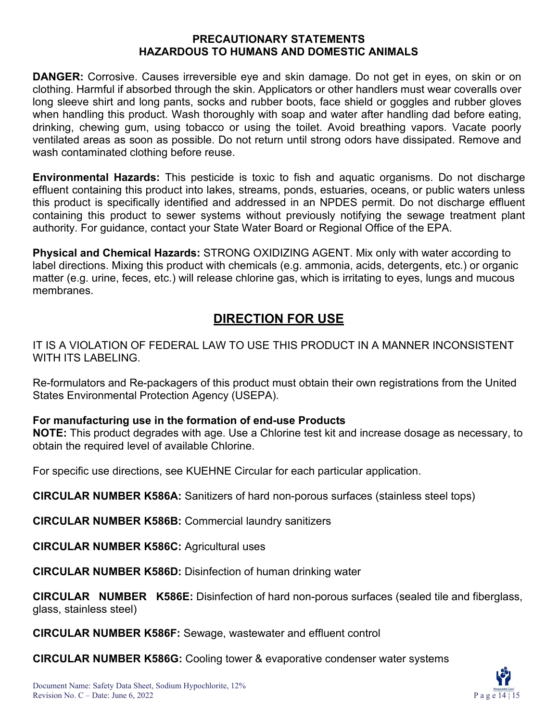#### **PRECAUTIONARY STATEMENTS HAZARDOUS TO HUMANS AND DOMESTIC ANIMALS**

**DANGER:** Corrosive. Causes irreversible eye and skin damage. Do not get in eyes, on skin or on clothing. Harmful if absorbed through the skin. Applicators or other handlers must wear coveralls over long sleeve shirt and long pants, socks and rubber boots, face shield or goggles and rubber gloves when handling this product. Wash thoroughly with soap and water after handling dad before eating, drinking, chewing gum, using tobacco or using the toilet. Avoid breathing vapors. Vacate poorly ventilated areas as soon as possible. Do not return until strong odors have dissipated. Remove and wash contaminated clothing before reuse.

**Environmental Hazards:** This pesticide is toxic to fish and aquatic organisms. Do not discharge effluent containing this product into lakes, streams, ponds, estuaries, oceans, or public waters unless this product is specifically identified and addressed in an NPDES permit. Do not discharge effluent containing this product to sewer systems without previously notifying the sewage treatment plant authority. For guidance, contact your State Water Board or Regional Office of the EPA.

**Physical and Chemical Hazards:** STRONG OXIDIZING AGENT. Mix only with water according to label directions. Mixing this product with chemicals (e.g. ammonia, acids, detergents, etc.) or organic matter (e.g. urine, feces, etc.) will release chlorine gas, which is irritating to eyes, lungs and mucous membranes.

# **DIRECTION FOR USE**

IT IS A VIOLATION OF FEDERAL LAW TO USE THIS PRODUCT IN A MANNER INCONSISTENT WITH ITS LABELING.

Re-formulators and Re-packagers of this product must obtain their own registrations from the United States Environmental Protection Agency (USEPA).

#### **For manufacturing use in the formation of end-use Products**

**NOTE:** This product degrades with age. Use a Chlorine test kit and increase dosage as necessary, to obtain the required level of available Chlorine.

For specific use directions, see KUEHNE Circular for each particular application.

**CIRCULAR NUMBER K586A:** Sanitizers of hard non-porous surfaces (stainless steel tops)

**CIRCULAR NUMBER K586B:** Commercial laundry sanitizers

**CIRCULAR NUMBER K586C:** Agricultural uses

**CIRCULAR NUMBER K586D:** Disinfection of human drinking water

**CIRCULAR NUMBER K586E:** Disinfection of hard non-porous surfaces (sealed tile and fiberglass, glass, stainless steel)

**CIRCULAR NUMBER K586F:** Sewage, wastewater and effluent control

**CIRCULAR NUMBER K586G:** Cooling tower & evaporative condenser water systems